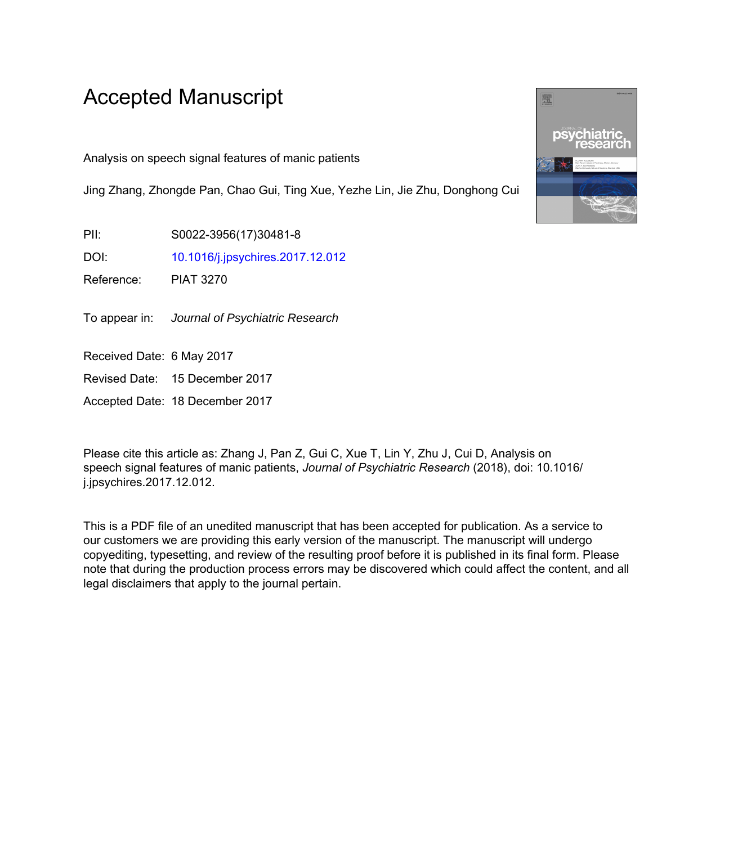## Accepted Manuscript

Analysis on speech signal features of manic patients

Jing Zhang, Zhongde Pan, Chao Gui, Ting Xue, Yezhe Lin, Jie Zhu, Donghong Cui

PII: S0022-3956(17)30481-8

DOI: [10.1016/j.jpsychires.2017.12.012](https://doi.org/10.1016/j.jpsychires.2017.12.012)

Reference: PIAT 3270

To appear in: Journal of Psychiatric Research

Received Date: 6 May 2017

Revised Date: 15 December 2017

Accepted Date: 18 December 2017

Please cite this article as: Zhang J, Pan Z, Gui C, Xue T, Lin Y, Zhu J, Cui D, Analysis on speech signal features of manic patients, *Journal of Psychiatric Research* (2018), doi: 10.1016/ j.jpsychires.2017.12.012.

This is a PDF file of an unedited manuscript that has been accepted for publication. As a service to our customers we are providing this early version of the manuscript. The manuscript will undergo copyediting, typesetting, and review of the resulting proof before it is published in its final form. Please note that during the production process errors may be discovered which could affect the content, and all legal disclaimers that apply to the journal pertain.

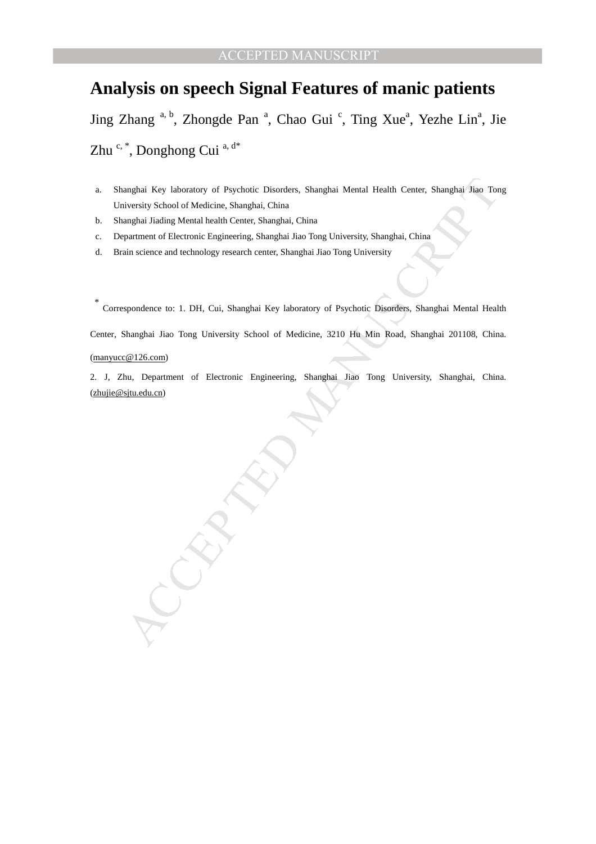## **Analysis on speech Signal Features of manic patients**

Jing Zhang <sup>a, b</sup>, Zhongde Pan<sup>a</sup>, Chao Gui<sup>c</sup>, Ting Xue<sup>a</sup>, Yezhe Lin<sup>a</sup>, Jie Zhu c, \*, Donghong Cui a, d\*

- a. Shanghai Key laboratory of Psychotic Disorders, Shanghai Mental Health Center, Shanghai Jiao Tong University School of Medicine, Shanghai, China
- b. Shanghai Jiading Mental health Center, Shanghai, China
- c. Department of Electronic Engineering, Shanghai Jiao Tong University, Shanghai, China
- d. Brain science and technology research center, Shanghai Jiao Tong University

anghai Key laboratory of Psychotic Disorders, Shanghai Mental Health Center, Shanghai Jao Tor<br>
viewsity School of Medicine, Shanghai, China<br>
maghat Jiadia Mental health Center, Shanghai, China<br>
maghat Jiadia Mental Lend<br>
g \* Correspondence to: 1. DH, Cui, Shanghai Key laboratory of Psychotic Disorders, Shanghai Mental Health Center, Shanghai Jiao Tong University School of Medicine, 3210 Hu Min Road, Shanghai 201108, China. (manyucc@126.com)

2. J, Zhu, Department of Electronic Engineering, Shanghai Jiao Tong University, Shanghai, China. (zhujie@sjtu.edu.cn)